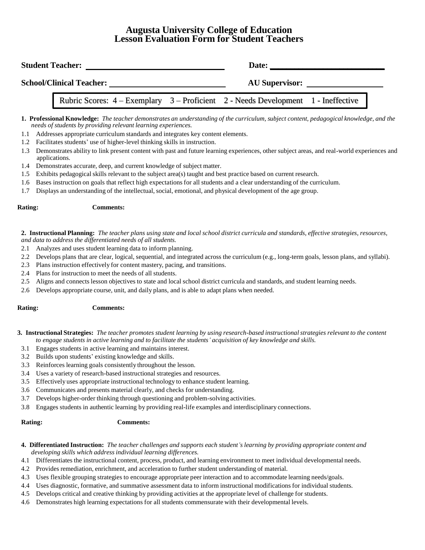# **Augusta University College of Education Lesson Evaluation Form for Student Teachers**

| <b>Student Teacher:</b>         |  |  |                       | Date:                                                                             |  |
|---------------------------------|--|--|-----------------------|-----------------------------------------------------------------------------------|--|
| <b>School/Clinical Teacher:</b> |  |  | <b>AU Supervisor:</b> |                                                                                   |  |
|                                 |  |  |                       | Rubric Scores: 4 – Exemplary 3 – Proficient 2 - Needs Development 1 - Ineffective |  |

1. Professional Knowledge: The teacher demonstrates an understanding of the curriculum, subject content, pedagogical knowledge, and the *needs of students by providing relevant learning experiences.*

- 1.1 Addresses appropriate curriculum standards and integrates key content elements.
- 1.2 Facilitates students' use of higher-level thinking skills in instruction.
- 1.3 Demonstrates ability to link present content with past and future learning experiences, other subject areas, and real-world experiences and applications.
- 1.4 Demonstrates accurate, deep, and current knowledge of subject matter.
- 1.5 Exhibits pedagogical skills relevant to the subject area(s) taught and best practice based on current research.
- 1.6 Bases instruction on goals that reflect high expectationsfor all students and a clear understanding of the curriculum.
- 1.7 Displays an understanding of the intellectual, social, emotional, and physical development of the age group.

## **Rating: Comments:**

2. Instructional Planning: The teacher plans using state and local school district curricula and standards, effective strategies, resources, *and data to address the differentiated needs of all students.*

- 2.1 Analyzes and uses student learning data to inform planning.
- 2.2 Develops plans that are clear, logical, sequential, and integrated across the curriculum (e.g., long-term goals, lesson plans, and syllabi).
- 2.3 Plans instruction effectively for content mastery, pacing, and transitions.
- 2.4 Plans for instruction to meet the needs of all students.
- 2.5 Aligns and connects lesson objectives to state and local school district curricula and standards, and student learning needs.
- 2.6 Develops appropriate course, unit, and daily plans, and is able to adapt plans when needed.

### **Rating: Comments:**

- 3. Instructional Strategies: The teacher promotes student learning by using research-based instructional strategies relevant to the content *to engage students in active learning and to facilitate the students' acquisition of key knowledge and skills.*
- 3.1 Engages students in active learning and maintains interest.
- 3.2 Builds upon students' existing knowledge and skills.
- 3.3 Reinforces learning goals consistently throughout the lesson.
- 3.4 Uses a variety of research-based instructional strategies and resources.
- 3.5 Effectively uses appropriate instructional technology to enhance student learning.
- 3.6 Communicates and presents material clearly, and checks for understanding.
- 3.7 Develops higher-order thinking through questioning and problem-solving activities.
- 3.8 Engages students in authentic learning by providing real-life examples and interdisciplinary connections.

### **Rating: Comments:**

- 4. Differentiated Instruction: The teacher challenges and supports each student's learning by providing appropriate content and *developing skills which address individual learning differences.*
- 4.1 Differentiates the instructional content, process, product, and learning environment to meet individual developmental needs.
- 4.2 Provides remediation, enrichment, and acceleration to further student understanding of material.
- 4.3 Uses flexible grouping strategies to encourage appropriate peer interaction and to accommodate learning needs/goals.
- 4.4 Uses diagnostic, formative, and summative assessment data to inform instructional modifications for individual students.
- 4.5 Develops critical and creative thinking by providing activities at the appropriate level of challenge for students.
- 4.6 Demonstrates high learning expectations for all students commensurate with their developmental levels.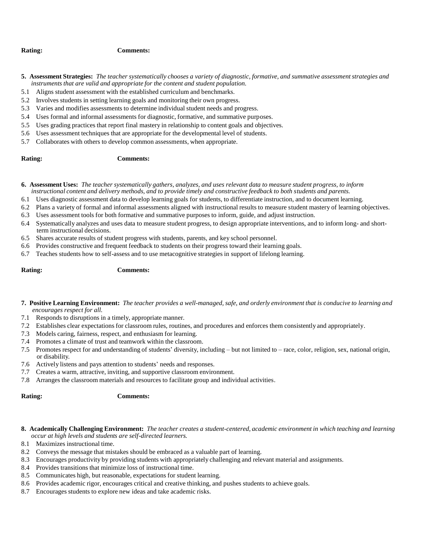### **Rating: Comments:**

- 5. Assessment Strategies: The teacher systematically chooses a variety of diagnostic, formative, and summative assessment strategies and *instruments that are valid and appropriate for the content and student population.*
- 5.1 Aligns student assessment with the established curriculum and benchmarks.
- 5.2 Involves students in setting learning goals and monitoring their own progress.
- 5.3 Varies and modifies assessments to determine individual student needs and progress.
- 5.4 Uses formal and informal assessments for diagnostic, formative, and summative purposes.
- 5.5 Uses grading practices that report final mastery in relationship to content goals and objectives.
- 5.6 Uses assessment techniques that are appropriate for the developmental level of students.
- 5.7 Collaborates with others to develop common assessments, when appropriate.

## **Rating: Comments:**

- **6. Assessment Uses:** The teacher systematically gathers, analyzes, and uses relevant data to measure student progress, to inform instructional content and delivery methods, and to provide timely and constructive feedback to both students and parents.
- 6.1 Uses diagnostic assessment data to develop learning goals for students, to differentiate instruction, and to document learning.
- 6.2 Plans a variety of formal and informal assessments aligned with instructional results to measure student mastery of learning objectives.
- 6.3 Uses assessment tools for both formative and summative purposes to inform, guide, and adjust instruction.
- 6.4 Systematically analyzes and uses data to measure student progress, to design appropriate interventions, and to inform long- and shortterm instructional decisions.
- 6.5 Shares accurate results of student progress with students, parents, and key school personnel.
- 6.6 Provides constructive and frequent feedback to students on their progress toward their learning goals.
- 6.7 Teaches students how to self-assess and to use metacognitive strategies in support of lifelong learning.

## **Rating: Comments:**

- 7. Positive Learning Environment: The teacher provides a well-managed, safe, and orderly environment that is conducive to learning and *encourages respect for all.*
- 7.1 Responds to disruptions in a timely, appropriate manner.
- 7.2 Establishes clear expectations for classroom rules, routines, and procedures and enforces them consistently and appropriately.
- 7.3 Models caring, fairness, respect, and enthusiasm for learning.
- 7.4 Promotes a climate of trust and teamwork within the classroom.
- 7.5 Promotes respect for and understanding of students' diversity, including but not limited to race, color, religion, sex, national origin, or disability.
- 7.6 Actively listens and pays attention to students' needs and responses.
- 7.7 Creates a warm, attractive, inviting, and supportive classroom environment.
- 7.8 Arranges the classroom materials and resources to facilitate group and individual activities.

### **Rating: Comments:**

- 8. Academically Challenging Environment: The teacher creates a student-centered, academic environment in which teaching and learning *occur at high levels and students are self-directed learners.*
- 8.1 Maximizes instructional time.
- 8.2 Conveys the message that mistakes should be embraced as a valuable part of learning.
- 8.3 Encourages productivity by providing students with appropriately challenging and relevant material and assignments.
- 8.4 Provides transitions that minimize loss of instructional time.
- 8.5 Communicates high, but reasonable, expectations for student learning.
- 8.6 Provides academic rigor, encourages critical and creative thinking, and pushes students to achieve goals.
- 8.7 Encourages students to explore new ideas and take academic risks.